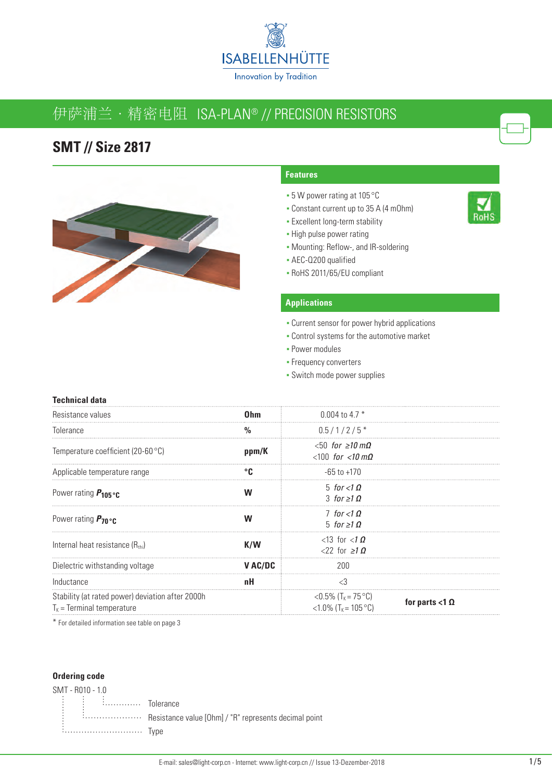

# 伊萨浦兰·精密电阻 ISA-PLAN® // PRECISION RESISTORS

### **SMT // Size 2817**



#### **Features**

- 5 W power rating at 105 °C
- Constant current up to 35 A (4 mOhm)
- **Excellent long-term stability**
- High pulse power rating
- Mounting: Reflow-, and IR-soldering
- AEC-Q200 qualified
- RoHS 2011/65/EU compliant

#### **Applications**

- **Current sensor for power hybrid applications**
- Control systems for the automotive market
- Power modules
- **Frequency converters**
- Switch mode power supplies

| <b>Technical data</b>                                                           |                 |                                                                         |                          |
|---------------------------------------------------------------------------------|-----------------|-------------------------------------------------------------------------|--------------------------|
| Resistance values                                                               | 0 <sub>hm</sub> | 0.004 to 4.7 $*$                                                        |                          |
| Tolerance                                                                       | %               | $0.5/1/2/5*$                                                            |                          |
| Temperature coefficient (20-60 $\degree$ C)                                     | ppm/K           | $< 50$ for $\geq 10$ m $\Omega$<br>$< 100$ for $< 10$ mQ                |                          |
| Applicable temperature range                                                    |                 | $-65$ to $+170$                                                         |                          |
| Power rating $P_{105}$ °C                                                       | W               | 5 for $<$ 1 $\Omega$<br>$3$ for $>10$                                   |                          |
| Power rating $P_{70}$ °c                                                        | W               | $7$ for $<$ 10<br>$5$ for $\geq 1$ $\Omega$                             |                          |
| Internal heat resistance $(R_{\text{th}})$                                      | K/W             | $<$ 13 for $<$ 1 $\Omega$<br>$22$ for $>10$                             |                          |
| Dielectric withstanding voltage                                                 | V AC/DC         | 200                                                                     |                          |
| Inductance                                                                      | пH              | €3                                                                      |                          |
| Stability (at rated power) deviation after 2000h<br>$TK$ = Terminal temperature |                 | $<$ 0.5% (T <sub>K</sub> = 75 °C)<br>$<1.0\%$ (T <sub>K</sub> = 105 °C) | for parts $<$ 1 $\Omega$ |

\* For detailed information see table on page 3

#### **Ordering code**

| SMT - R010 - 1.0 |  |
|------------------|--|
|                  |  |
|                  |  |
|                  |  |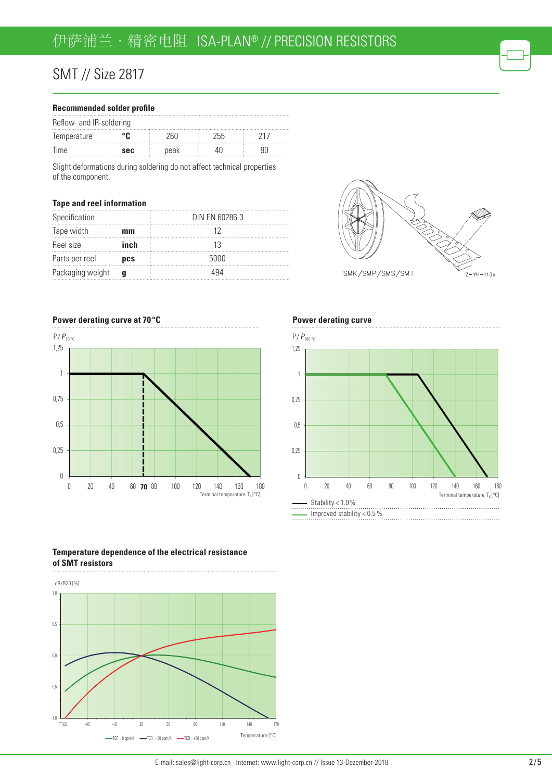#### **Recommended solder profile**

| Reflow- and IR-soldering        |     |      |     |  |
|---------------------------------|-----|------|-----|--|
| Temperature                     |     |      | 755 |  |
| lime<br><b>****************</b> | sec | peak |     |  |

Slight deformations during soldering do not affect technical properties of the component.

#### **Tape and reel information**

| Specification    |      | DIN EN 60286-3 |
|------------------|------|----------------|
| Tape width       | mm   |                |
| Reel size        | inch |                |
| Parts per reel   | pcs  | 5000           |
| Packaging weight |      |                |

**Power derating curve at 70 °C**



**Power derating curve**



SMK/SMP/SMS/SMT

Z-YH-113e

#### **Temperature dependence of the electrical resistance of SMT resistors**

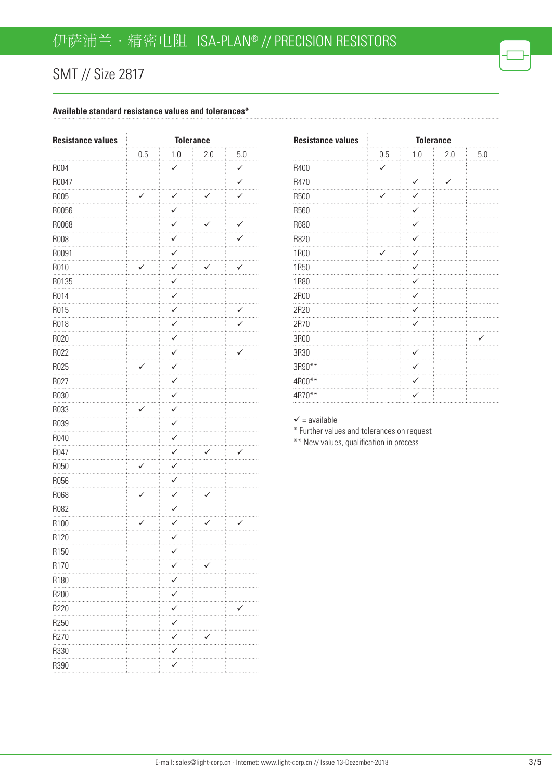#### **Available standard resistance values and tolerances\***

| <b>Resistance values</b> | <b>Tolerance</b> |                   |     |              |
|--------------------------|------------------|-------------------|-----|--------------|
|                          | 0.5              | 1.0               | 2.0 | 5.0          |
| R004                     |                  | $\checkmark$      |     | $\checkmark$ |
| R0047                    |                  |                   |     | ✓            |
| R005                     | $\checkmark$     | ✓                 | ✓   | ✓            |
| R0056                    |                  | ✓                 |     |              |
| R0068                    |                  | $\checkmark$<br>. | ✓   | $\checkmark$ |
| <b>R008</b>              |                  | ✓                 |     |              |
| R0091                    |                  | ✓                 |     |              |
| R010                     | ✓                | ✓                 | ✓   | ✓            |
| R0135                    |                  | ✓                 |     |              |
| R014                     |                  | $\checkmark$      |     |              |
| R015                     |                  | $\checkmark$      |     | $\checkmark$ |
| R018                     |                  | ✓                 |     |              |
| R020                     |                  | ✓                 |     |              |
| R022                     |                  | ✓                 |     | v            |
| R025                     | ✓                | ✓                 |     |              |
| R027                     |                  | $\checkmark$      |     |              |
| R030                     |                  | ✓                 |     |              |
| R033                     | ✓                | ✓                 |     |              |
| R039                     |                  | $\checkmark$      |     |              |
| R040                     |                  | $\checkmark$      |     |              |
| R047                     |                  | ✓                 |     | ✓            |
| R050                     | ✓                | ✓                 |     |              |
| R056                     |                  | ✓<br>$\cdots$     |     |              |
| R068                     | ✓                | ✓                 | ✓   |              |
| R082                     |                  | $\checkmark$      |     |              |
| R100                     | ✓                | ✓                 | ✓   | ✓            |
| R120                     |                  | ✓                 |     |              |
| R150                     |                  |                   |     |              |
| R <sub>170</sub>         |                  |                   |     |              |
| R180                     |                  |                   |     |              |
| R200                     |                  |                   |     |              |
| R220                     |                  |                   |     |              |
| R250                     |                  |                   |     |              |
| R270                     |                  |                   |     |              |
| R330                     |                  | ✓                 |     |              |
| R390                     |                  |                   |     |              |
|                          |                  |                   |     |              |

| <b>Resistance values</b> | <b>Tolerance</b> |              |     |     |
|--------------------------|------------------|--------------|-----|-----|
|                          | 0.5              | 1.0          | 2.0 | 5.0 |
| R400                     | ✓                |              |     |     |
| R470                     |                  | ✓            | ✓   |     |
| R500                     | ✓                | ✓            |     |     |
| R560                     |                  | ✓            |     |     |
| R680                     |                  | ✓            |     |     |
| R820                     |                  | ✓            |     |     |
| <b>1R00</b>              |                  | $\checkmark$ |     |     |
| <b>1R50</b>              |                  | $\checkmark$ |     |     |
| <b>1R80</b>              |                  | $\checkmark$ |     |     |
| 2R00                     |                  | $\checkmark$ |     |     |
| 2R20                     |                  | $\checkmark$ |     |     |
| 2R70                     |                  | $\checkmark$ |     |     |
| 3R00                     |                  |              |     | ✓   |
| 3R30                     |                  | $\checkmark$ |     |     |
| 3R90**                   |                  | ✓            |     |     |
| 4R00**                   |                  | ✓            |     |     |
| 4R70**                   |                  | $\checkmark$ |     |     |
|                          |                  |              |     |     |

#### $\checkmark$  = available

\* Further values and tolerances on request

\*\* New values, qualification in process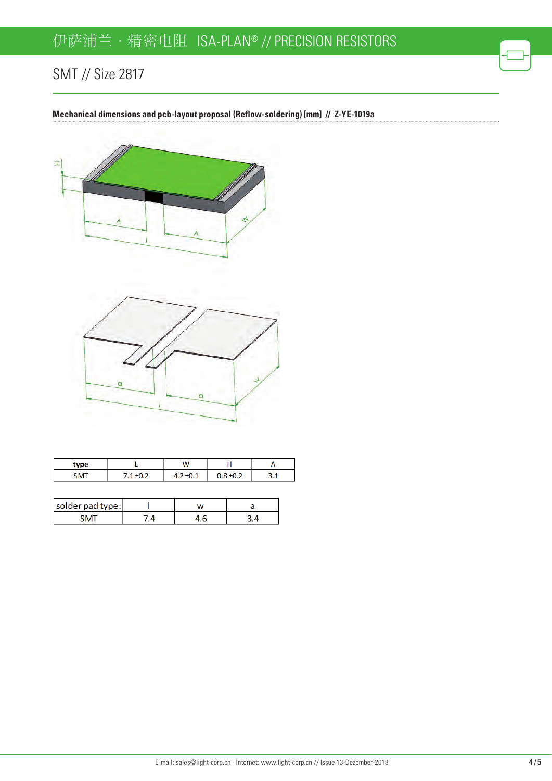**Mechanical dimensions and pcb-layout proposal (Reflow-soldering) [mm] // Z-YE-1019a**





| <b>vpe</b> | ١A |  |
|------------|----|--|
|            |    |  |

| solder pad type: |  |  |
|------------------|--|--|
|                  |  |  |